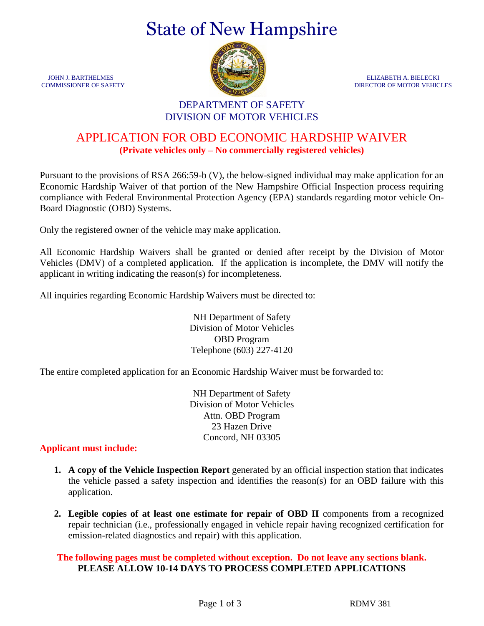# State of New Hampshire



JOHN J. BARTHELMES ELIZABETH A. BIELECKI COMMISSIONER OF SAFETY **DIRECTOR OF MOTOR VEHICLES** 

### DEPARTMENT OF SAFETY DIVISION OF MOTOR VEHICLES

## APPLICATION FOR OBD ECONOMIC HARDSHIP WAIVER **(Private vehicles only – No commercially registered vehicles)**

Pursuant to the provisions of RSA 266:59-b (V), the below-signed individual may make application for an Economic Hardship Waiver of that portion of the New Hampshire Official Inspection process requiring compliance with Federal Environmental Protection Agency (EPA) standards regarding motor vehicle On-Board Diagnostic (OBD) Systems.

Only the registered owner of the vehicle may make application.

All Economic Hardship Waivers shall be granted or denied after receipt by the Division of Motor Vehicles (DMV) of a completed application. If the application is incomplete, the DMV will notify the applicant in writing indicating the reason(s) for incompleteness.

All inquiries regarding Economic Hardship Waivers must be directed to:

NH Department of Safety Division of Motor Vehicles OBD Program Telephone (603) 227-4120

The entire completed application for an Economic Hardship Waiver must be forwarded to:

NH Department of Safety Division of Motor Vehicles Attn. OBD Program 23 Hazen Drive Concord, NH 03305

#### **Applicant must include:**

- **1. A copy of the Vehicle Inspection Report** generated by an official inspection station that indicates the vehicle passed a safety inspection and identifies the reason(s) for an OBD failure with this application.
- **2. Legible copies of at least one estimate for repair of OBD II** components from a recognized repair technician (i.e., professionally engaged in vehicle repair having recognized certification for emission-related diagnostics and repair) with this application.

#### **The following pages must be completed without exception. Do not leave any sections blank. PLEASE ALLOW 10-14 DAYS TO PROCESS COMPLETED APPLICATIONS**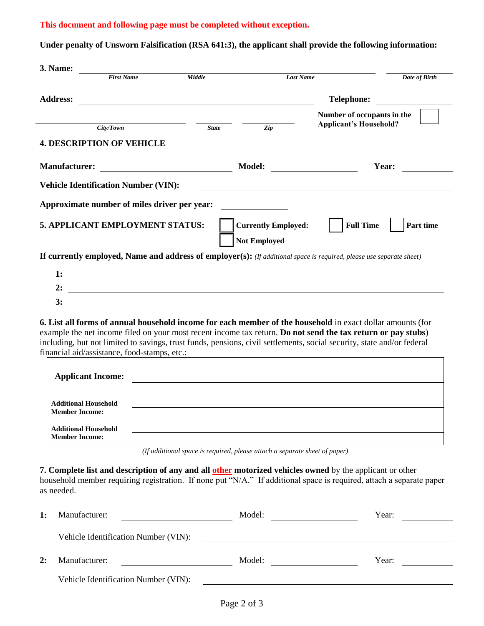#### **This document and following page must be completed without exception.**

**Under penalty of Unsworn Falsification (RSA 641:3), the applicant shall provide the following information:** 

| 3. Name:                                             |                                              |                                                               |                            |                                                                                                                                                                                                                                                                                                                                                      |
|------------------------------------------------------|----------------------------------------------|---------------------------------------------------------------|----------------------------|------------------------------------------------------------------------------------------------------------------------------------------------------------------------------------------------------------------------------------------------------------------------------------------------------------------------------------------------------|
|                                                      | <b>First Name</b>                            | Middle                                                        | <b>Last Name</b>           | Date of Birth                                                                                                                                                                                                                                                                                                                                        |
| <b>Address:</b>                                      |                                              |                                                               |                            | <b>Telephone:</b>                                                                                                                                                                                                                                                                                                                                    |
|                                                      |                                              |                                                               |                            | Number of occupants in the                                                                                                                                                                                                                                                                                                                           |
|                                                      | City/ Town                                   | <b>State</b>                                                  | Zip                        | <b>Applicant's Household?</b>                                                                                                                                                                                                                                                                                                                        |
|                                                      | <b>4. DESCRIPTION OF VEHICLE</b>             |                                                               |                            |                                                                                                                                                                                                                                                                                                                                                      |
| <b>Manufacturer:</b>                                 |                                              |                                                               | <b>Model:</b>              | Year:<br><u> Territoria de la contenentación de la contenentación de la contenentación de la contenentación de la contene</u>                                                                                                                                                                                                                        |
|                                                      | <b>Vehicle Identification Number (VIN):</b>  |                                                               |                            |                                                                                                                                                                                                                                                                                                                                                      |
|                                                      | Approximate number of miles driver per year: |                                                               |                            |                                                                                                                                                                                                                                                                                                                                                      |
|                                                      | 5. APPLICANT EMPLOYMENT STATUS:              |                                                               | <b>Currently Employed:</b> | <b>Full Time</b><br>Part time                                                                                                                                                                                                                                                                                                                        |
|                                                      |                                              |                                                               | <b>Not Employed</b>        |                                                                                                                                                                                                                                                                                                                                                      |
|                                                      |                                              |                                                               |                            |                                                                                                                                                                                                                                                                                                                                                      |
|                                                      |                                              |                                                               |                            |                                                                                                                                                                                                                                                                                                                                                      |
|                                                      |                                              |                                                               |                            | If currently employed, Name and address of employer(s): (If additional space is required, please use separate sheet)                                                                                                                                                                                                                                 |
| 1:                                                   |                                              |                                                               |                            |                                                                                                                                                                                                                                                                                                                                                      |
| 2:<br>3:                                             |                                              | <u> 1989 - Johann Barn, fransk politik formuler (d. 1989)</u> |                            |                                                                                                                                                                                                                                                                                                                                                      |
|                                                      | financial aid/assistance, food-stamps, etc.: |                                                               |                            | 6. List all forms of annual household income for each member of the household in exact dollar amounts (for<br>example the net income filed on your most recent income tax return. Do not send the tax return or pay stubs)<br>including, but not limited to savings, trust funds, pensions, civil settlements, social security, state and/or federal |
| <b>Applicant Income:</b>                             |                                              |                                                               |                            | <u> 1989 - Johann John Stone, mensk politik en beskrivet og det ble store og det ble store og det ble store og de</u>                                                                                                                                                                                                                                |
| <b>Additional Household</b><br><b>Member Income:</b> |                                              |                                                               |                            |                                                                                                                                                                                                                                                                                                                                                      |
| <b>Additional Household</b><br><b>Member Income:</b> |                                              |                                                               |                            |                                                                                                                                                                                                                                                                                                                                                      |

| 1: | Manufacturer:                        | Model: | Year: |
|----|--------------------------------------|--------|-------|
|    | Vehicle Identification Number (VIN): |        |       |
| 2: | Manufacturer:                        | Model: | Year: |
|    | Vehicle Identification Number (VIN): |        |       |